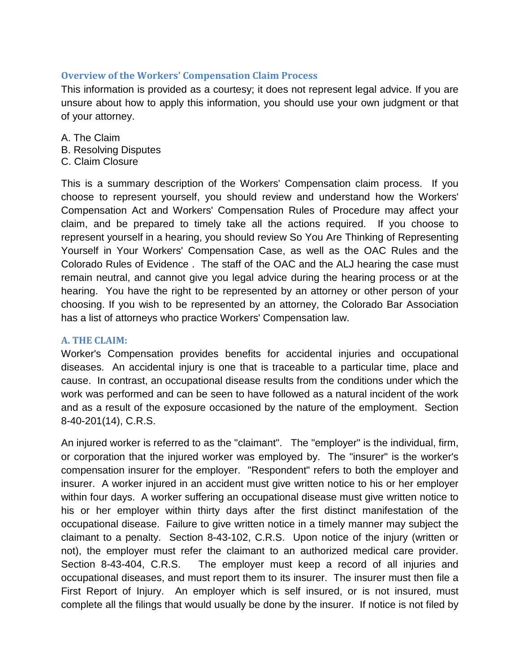## **Overview of the Workers' Compensation Claim Process**

This information is provided as a courtesy; it does not represent legal advice. If you are unsure about how to apply this information, you should use your own judgment or that of your attorney.

- A. The Claim
- B. Resolving Disputes
- C. Claim Closure

This is a summary description of the Workers' Compensation claim process. If you choose to represent yourself, you should review and understand how the Workers' Compensation Act and Workers' Compensation Rules of Procedure may affect your claim, and be prepared to timely take all the actions required. If you choose to represent yourself in a hearing, you should review So You Are Thinking of Representing Yourself in Your Workers' Compensation Case, as well as the OAC Rules and the Colorado Rules of Evidence . The staff of the OAC and the ALJ hearing the case must remain neutral, and cannot give you legal advice during the hearing process or at the hearing. You have the right to be represented by an attorney or other person of your choosing. If you wish to be represented by an attorney, the Colorado Bar Association has a list of attorneys who practice Workers' Compensation law.

## **A. THE CLAIM:**

Worker's Compensation provides benefits for accidental injuries and occupational diseases. An accidental injury is one that is traceable to a particular time, place and cause. In contrast, an occupational disease results from the conditions under which the work was performed and can be seen to have followed as a natural incident of the work and as a result of the exposure occasioned by the nature of the employment. Section 8-40-201(14), C.R.S.

An injured worker is referred to as the "claimant". The "employer" is the individual, firm, or corporation that the injured worker was employed by. The "insurer" is the worker's compensation insurer for the employer. "Respondent" refers to both the employer and insurer. A worker injured in an accident must give written notice to his or her employer within four days. A worker suffering an occupational disease must give written notice to his or her employer within thirty days after the first distinct manifestation of the occupational disease. Failure to give written notice in a timely manner may subject the claimant to a penalty. Section 8-43-102, C.R.S. Upon notice of the injury (written or not), the employer must refer the claimant to an authorized medical care provider. Section 8-43-404, C.R.S. The employer must keep a record of all injuries and occupational diseases, and must report them to its insurer. The insurer must then file a First Report of Injury. An employer which is self insured, or is not insured, must complete all the filings that would usually be done by the insurer. If notice is not filed by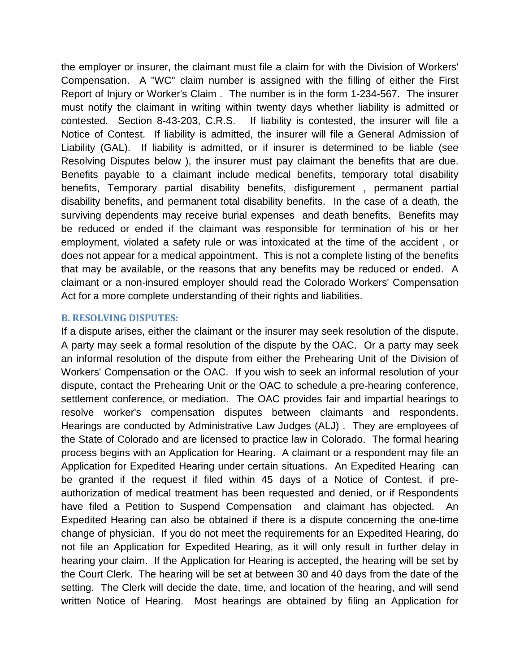the employer or insurer, the claimant must file a claim for with the Division of Workers' Compensation. A "WC" claim number is assigned with the filling of either the First Report of Injury or Worker's Claim . The number is in the form 1-234-567. The insurer must notify the claimant in writing within twenty days whether liability is admitted or contested. Section 8-43-203, C.R.S. If liability is contested, the insurer will file a Notice of Contest. If liability is admitted, the insurer will file a General Admission of Liability (GAL). If liability is admitted, or if insurer is determined to be liable (see Resolving Disputes below ), the insurer must pay claimant the benefits that are due. Benefits payable to a claimant include medical benefits, temporary total disability benefits, Temporary partial disability benefits, disfigurement , permanent partial disability benefits, and permanent total disability benefits. In the case of a death, the surviving dependents may receive burial expenses and death benefits. Benefits may be reduced or ended if the claimant was responsible for termination of his or her employment, violated a safety rule or was intoxicated at the time of the accident , or does not appear for a medical appointment. This is not a complete listing of the benefits that may be available, or the reasons that any benefits may be reduced or ended. A claimant or a non-insured employer should read the Colorado Workers' Compensation Act for a more complete understanding of their rights and liabilities.

## **B. RESOLVING DISPUTES:**

If a dispute arises, either the claimant or the insurer may seek resolution of the dispute. A party may seek a formal resolution of the dispute by the OAC. Or a party may seek an informal resolution of the dispute from either the Prehearing Unit of the Division of Workers' Compensation or the OAC. If you wish to seek an informal resolution of your dispute, contact the Prehearing Unit or the OAC to schedule a pre-hearing conference, settlement conference, or mediation. The OAC provides fair and impartial hearings to resolve worker's compensation disputes between claimants and respondents. Hearings are conducted by Administrative Law Judges (ALJ) . They are employees of the State of Colorado and are licensed to practice law in Colorado. The formal hearing process begins with an Application for Hearing. A claimant or a respondent may file an Application for Expedited Hearing under certain situations. An Expedited Hearing can be granted if the request if filed within 45 days of a Notice of Contest, if preauthorization of medical treatment has been requested and denied, or if Respondents have filed a Petition to Suspend Compensation and claimant has objected. An Expedited Hearing can also be obtained if there is a dispute concerning the one-time change of physician. If you do not meet the requirements for an Expedited Hearing, do not file an Application for Expedited Hearing, as it will only result in further delay in hearing your claim. If the Application for Hearing is accepted, the hearing will be set by the Court Clerk. The hearing will be set at between 30 and 40 days from the date of the setting. The Clerk will decide the date, time, and location of the hearing, and will send written Notice of Hearing. Most hearings are obtained by filing an Application for